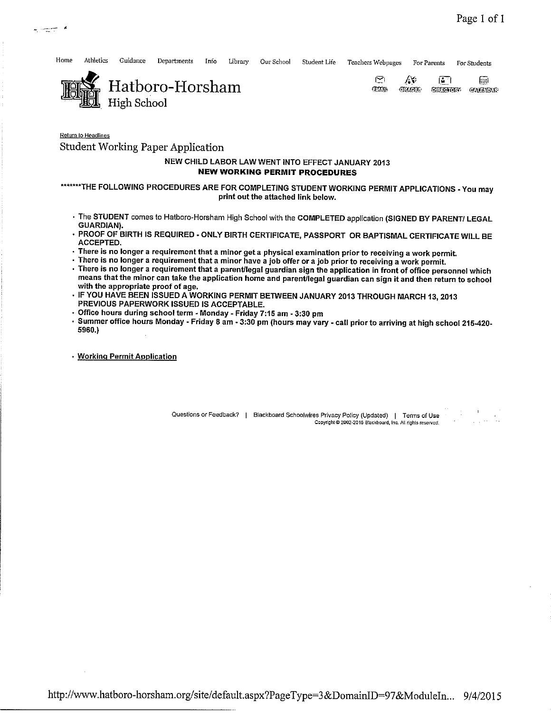

•

المستسلب الها

Home Athletics Guidance Departments Info Library Our School Student Life Teachers Wcbpages For Parents For Students



Return to Headlines

## Student Working Paper Application

## NEW CHILD LABOR LAW WENT INTO EFFECT JANUARY 2013 **NEW WORKING PERMIT PROCEDURES**

\*\*\*\*\*\*\*THE FOLLOWING PROCEDURES ARE FOR COMPLETING STUDENT WORKING PERMIT APPLICATIONS - You may print out the attached link below.

- The STUDENT comes to Hatboro-Horsham High School with the COMPLETED application (SIGNED BY PARENT/ LEGAL GUARDIAN).
- PROOF OF BIRTH IS REQUIRED ·ONLY BIRTH CERTIFICATE, PASSPORT OR BAPTISMAL CERTIFICATE WILL BE ACCEPTED.
- **There is no longer a requirement that a minor get a physical examination prior to receiving a work permit.**
- **There is no longer a requirement that a minor have a job offer or a job prior to receiving a work permit.**
- , **There is no longer a requirement that a parent/legal guardian sign the application in front of office personnel which means that the minor can take the application home and parent/legal guardian can sign it and then return to school with the appropriate proof of age.**
- IF YOU HAVE BEEN ISSUED A WORKING PERMIT BETWEEN JANUARY 2013 THROUGH MARCH 13, 2013 PREVIOUS PAPERWORK ISSUED IS ACCEPTABLE.
- , **Office hours during school term• Monday - Friday 7:15 am - 3:30 pm**
- **Summer office hours Monday - Friday 8 am - 3:30 pm (hours may vary - call prior to arriving at high school 215-420-** 5960.)

, **Working Permit Application** 

Questions or Feedback? | Blackboard Schoolwires Privacy Policy (Updated) | Terms of Use Copyright © 2002-2015 Blackboard, Inc. All rights reserved.